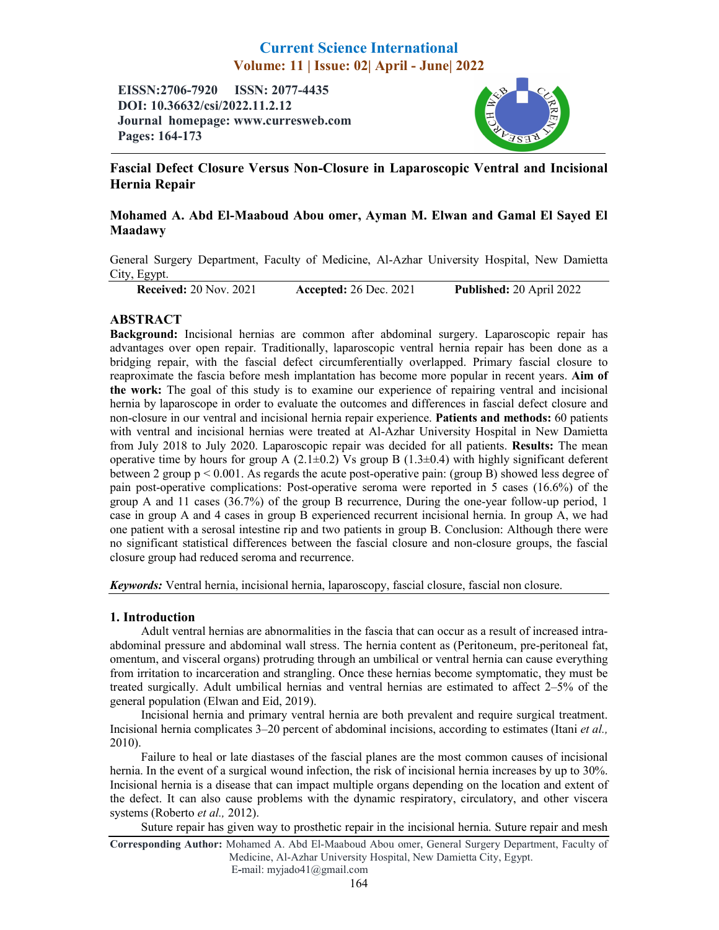# Current Science International Volume: 11 | Issue: 02| April - June| 2022

EISSN:2706-7920 ISSN: 2077-4435 DOI: 10.36632/csi/2022.11.2.12 Journal homepage: www.curresweb.com Pages: 164-173



## Fascial Defect Closure Versus Non-Closure in Laparoscopic Ventral and Incisional Hernia Repair

## Mohamed A. Abd El-Maaboud Abou omer, Ayman M. Elwan and Gamal El Sayed El Maadawy

General Surgery Department, Faculty of Medicine, Al-Azhar University Hospital, New Damietta City, Egypt.

Received: 20 Nov. 2021 Accepted: 26 Dec. 2021 Published: 20 April 2022

## ABSTRACT

Background: Incisional hernias are common after abdominal surgery. Laparoscopic repair has advantages over open repair. Traditionally, laparoscopic ventral hernia repair has been done as a bridging repair, with the fascial defect circumferentially overlapped. Primary fascial closure to reaproximate the fascia before mesh implantation has become more popular in recent years. Aim of the work: The goal of this study is to examine our experience of repairing ventral and incisional hernia by laparoscope in order to evaluate the outcomes and differences in fascial defect closure and non-closure in our ventral and incisional hernia repair experience. Patients and methods: 60 patients with ventral and incisional hernias were treated at Al-Azhar University Hospital in New Damietta from July 2018 to July 2020. Laparoscopic repair was decided for all patients. Results: The mean operative time by hours for group A  $(2.1\pm0.2)$  Vs group B  $(1.3\pm0.4)$  with highly significant deferent between 2 group  $p \le 0.001$ . As regards the acute post-operative pain: (group B) showed less degree of pain post-operative complications: Post-operative seroma were reported in 5 cases (16.6%) of the group A and 11 cases (36.7%) of the group B recurrence, During the one-year follow-up period, 1 case in group A and 4 cases in group B experienced recurrent incisional hernia. In group A, we had one patient with a serosal intestine rip and two patients in group B. Conclusion: Although there were no significant statistical differences between the fascial closure and non-closure groups, the fascial closure group had reduced seroma and recurrence.

*Keywords:* Ventral hernia, incisional hernia, laparoscopy, fascial closure, fascial non closure.

## 1. Introduction

Adult ventral hernias are abnormalities in the fascia that can occur as a result of increased intraabdominal pressure and abdominal wall stress. The hernia content as (Peritoneum, pre-peritoneal fat, omentum, and visceral organs) protruding through an umbilical or ventral hernia can cause everything from irritation to incarceration and strangling. Once these hernias become symptomatic, they must be treated surgically. Adult umbilical hernias and ventral hernias are estimated to affect 2–5% of the general population (Elwan and Eid, 2019).

Incisional hernia and primary ventral hernia are both prevalent and require surgical treatment. Incisional hernia complicates 3–20 percent of abdominal incisions, according to estimates (Itani *et al.,*  2010).

Failure to heal or late diastases of the fascial planes are the most common causes of incisional hernia. In the event of a surgical wound infection, the risk of incisional hernia increases by up to 30%. Incisional hernia is a disease that can impact multiple organs depending on the location and extent of the defect. It can also cause problems with the dynamic respiratory, circulatory, and other viscera systems (Roberto *et al.,* 2012).

Suture repair has given way to prosthetic repair in the incisional hernia. Suture repair and mesh

Corresponding Author: Mohamed A. Abd El-Maaboud Abou omer, General Surgery Department, Faculty of Medicine, Al-Azhar University Hospital, New Damietta City, Egypt. E-mail: myjado41@gmail.com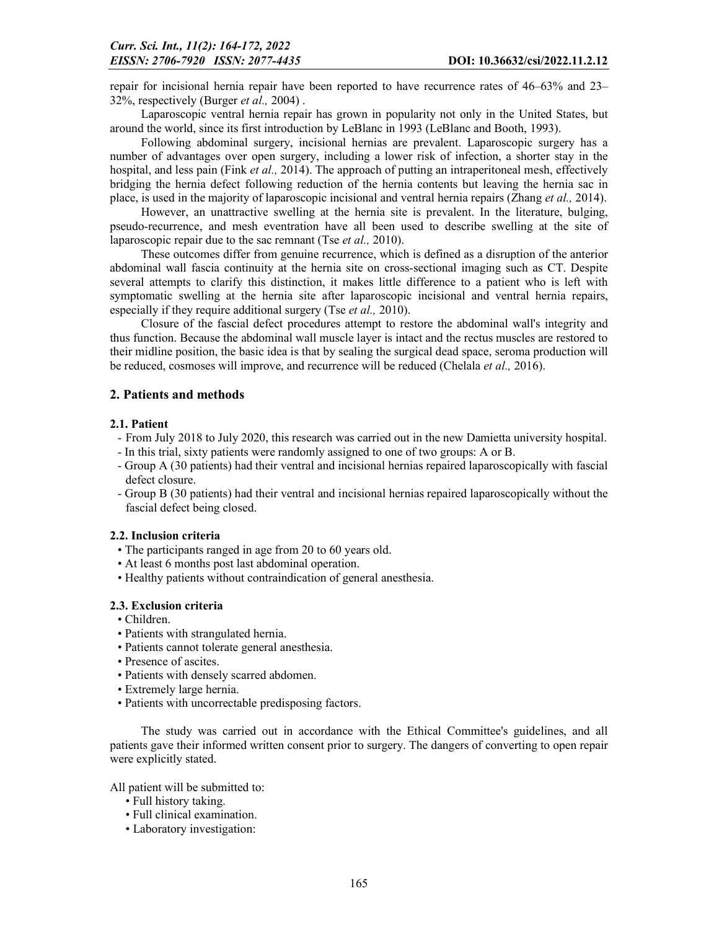repair for incisional hernia repair have been reported to have recurrence rates of 46–63% and 23– 32%, respectively (Burger *et al.,* 2004) .

Laparoscopic ventral hernia repair has grown in popularity not only in the United States, but around the world, since its first introduction by LeBlanc in 1993 (LeBlanc and Booth, 1993).

Following abdominal surgery, incisional hernias are prevalent. Laparoscopic surgery has a number of advantages over open surgery, including a lower risk of infection, a shorter stay in the hospital, and less pain (Fink *et al.,* 2014). The approach of putting an intraperitoneal mesh, effectively bridging the hernia defect following reduction of the hernia contents but leaving the hernia sac in place, is used in the majority of laparoscopic incisional and ventral hernia repairs (Zhang *et al.,* 2014).

However, an unattractive swelling at the hernia site is prevalent. In the literature, bulging, pseudo-recurrence, and mesh eventration have all been used to describe swelling at the site of laparoscopic repair due to the sac remnant (Tse *et al.,* 2010).

These outcomes differ from genuine recurrence, which is defined as a disruption of the anterior abdominal wall fascia continuity at the hernia site on cross-sectional imaging such as CT. Despite several attempts to clarify this distinction, it makes little difference to a patient who is left with symptomatic swelling at the hernia site after laparoscopic incisional and ventral hernia repairs, especially if they require additional surgery (Tse *et al.,* 2010).

Closure of the fascial defect procedures attempt to restore the abdominal wall's integrity and thus function. Because the abdominal wall muscle layer is intact and the rectus muscles are restored to their midline position, the basic idea is that by sealing the surgical dead space, seroma production will be reduced, cosmoses will improve, and recurrence will be reduced (Chelala *et al.,* 2016).

### 2. Patients and methods

#### 2.1. Patient

- From July 2018 to July 2020, this research was carried out in the new Damietta university hospital.
- In this trial, sixty patients were randomly assigned to one of two groups: A or B.
- Group A (30 patients) had their ventral and incisional hernias repaired laparoscopically with fascial defect closure.
- Group B (30 patients) had their ventral and incisional hernias repaired laparoscopically without the fascial defect being closed.

#### 2.2. Inclusion criteria

- The participants ranged in age from 20 to 60 years old.
- At least 6 months post last abdominal operation.
- Healthy patients without contraindication of general anesthesia.

#### 2.3. Exclusion criteria

- Children.
- Patients with strangulated hernia.
- Patients cannot tolerate general anesthesia.
- Presence of ascites.
- Patients with densely scarred abdomen.
- Extremely large hernia.
- Patients with uncorrectable predisposing factors.

The study was carried out in accordance with the Ethical Committee's guidelines, and all patients gave their informed written consent prior to surgery. The dangers of converting to open repair were explicitly stated.

All patient will be submitted to:

- Full history taking.
- Full clinical examination.
- Laboratory investigation: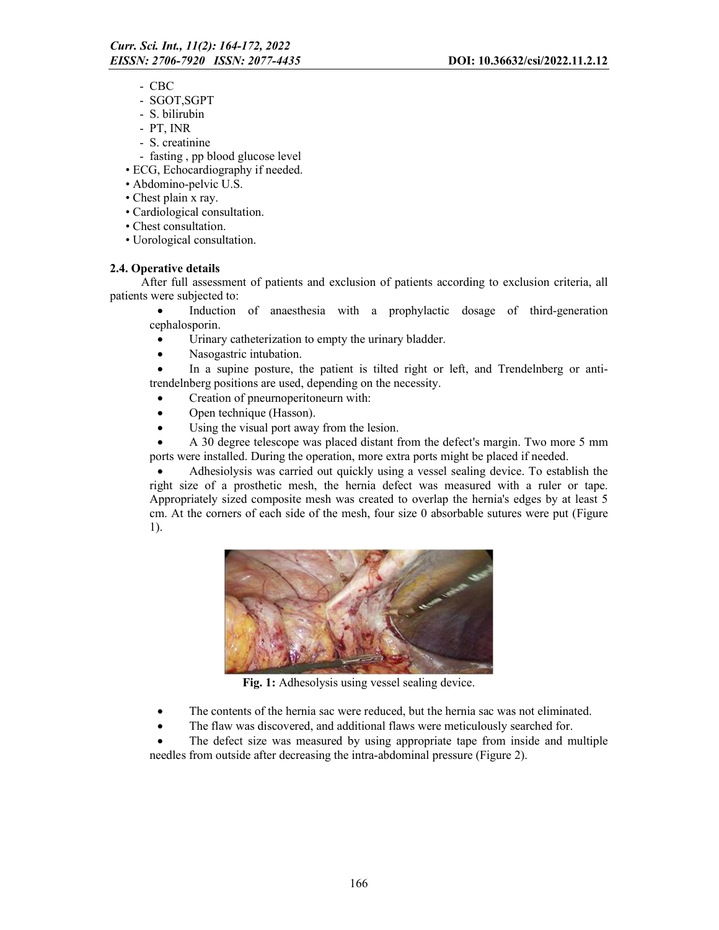- CBC
- SGOT,SGPT
- S. bilirubin
- PT, INR
- S. creatinine
- fasting , pp blood glucose level
- ECG, Echocardiography if needed.
- Abdomino-pelvic U.S.
- Chest plain x ray.
- Cardiological consultation.
- Chest consultation.
- Uorological consultation.

## 2.4. Operative details

After full assessment of patients and exclusion of patients according to exclusion criteria, all patients were subjected to:

 Induction of anaesthesia with a prophylactic dosage of third-generation cephalosporin.

- Urinary catheterization to empty the urinary bladder.
- Nasogastric intubation.

 In a supine posture, the patient is tilted right or left, and Trendelnberg or antitrendelnberg positions are used, depending on the necessity.

- Creation of pneurnoperitoneurn with:
- Open technique (Hasson).
- Using the visual port away from the lesion.

 A 30 degree telescope was placed distant from the defect's margin. Two more 5 mm ports were installed. During the operation, more extra ports might be placed if needed.

 Adhesiolysis was carried out quickly using a vessel sealing device. To establish the right size of a prosthetic mesh, the hernia defect was measured with a ruler or tape. Appropriately sized composite mesh was created to overlap the hernia's edges by at least 5 cm. At the corners of each side of the mesh, four size 0 absorbable sutures were put (Figure 1).



Fig. 1: Adhesolysis using vessel sealing device.

- The contents of the hernia sac were reduced, but the hernia sac was not eliminated.
- The flaw was discovered, and additional flaws were meticulously searched for.

 The defect size was measured by using appropriate tape from inside and multiple needles from outside after decreasing the intra-abdominal pressure (Figure 2).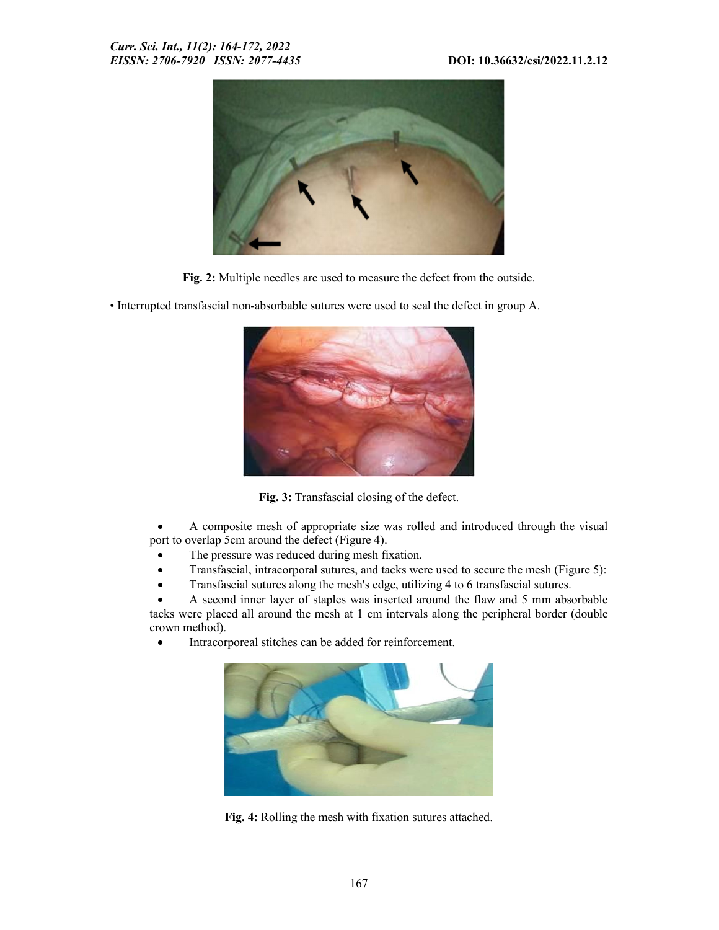

Fig. 2: Multiple needles are used to measure the defect from the outside.



• Interrupted transfascial non-absorbable sutures were used to seal the defect in group A.

Fig. 3: Transfascial closing of the defect.

 A composite mesh of appropriate size was rolled and introduced through the visual port to overlap 5cm around the defect (Figure 4).

- The pressure was reduced during mesh fixation.
- Transfascial, intracorporal sutures, and tacks were used to secure the mesh (Figure 5):
- Transfascial sutures along the mesh's edge, utilizing 4 to 6 transfascial sutures.

 A second inner layer of staples was inserted around the flaw and 5 mm absorbable tacks were placed all around the mesh at 1 cm intervals along the peripheral border (double crown method).

Intracorporeal stitches can be added for reinforcement.



Fig. 4: Rolling the mesh with fixation sutures attached.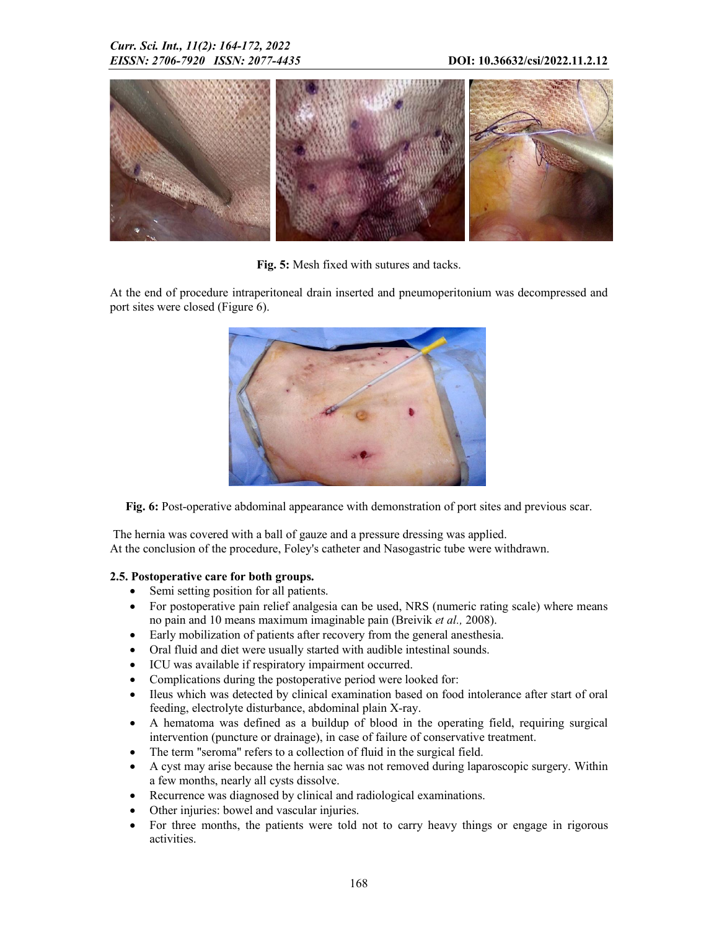

Fig. 5: Mesh fixed with sutures and tacks.

At the end of procedure intraperitoneal drain inserted and pneumoperitonium was decompressed and port sites were closed (Figure 6).



Fig. 6: Post-operative abdominal appearance with demonstration of port sites and previous scar.

The hernia was covered with a ball of gauze and a pressure dressing was applied. At the conclusion of the procedure, Foley's catheter and Nasogastric tube were withdrawn.

## 2.5. Postoperative care for both groups.

- Semi setting position for all patients.
- For postoperative pain relief analgesia can be used, NRS (numeric rating scale) where means no pain and 10 means maximum imaginable pain (Breivik *et al.,* 2008).
- Early mobilization of patients after recovery from the general anesthesia.
- Oral fluid and diet were usually started with audible intestinal sounds.
- ICU was available if respiratory impairment occurred.
- Complications during the postoperative period were looked for:
- Ileus which was detected by clinical examination based on food intolerance after start of oral feeding, electrolyte disturbance, abdominal plain X-ray.
- A hematoma was defined as a buildup of blood in the operating field, requiring surgical intervention (puncture or drainage), in case of failure of conservative treatment.
- The term "seroma" refers to a collection of fluid in the surgical field.
- A cyst may arise because the hernia sac was not removed during laparoscopic surgery. Within a few months, nearly all cysts dissolve.
- Recurrence was diagnosed by clinical and radiological examinations.
- Other injuries: bowel and vascular injuries.
- For three months, the patients were told not to carry heavy things or engage in rigorous activities.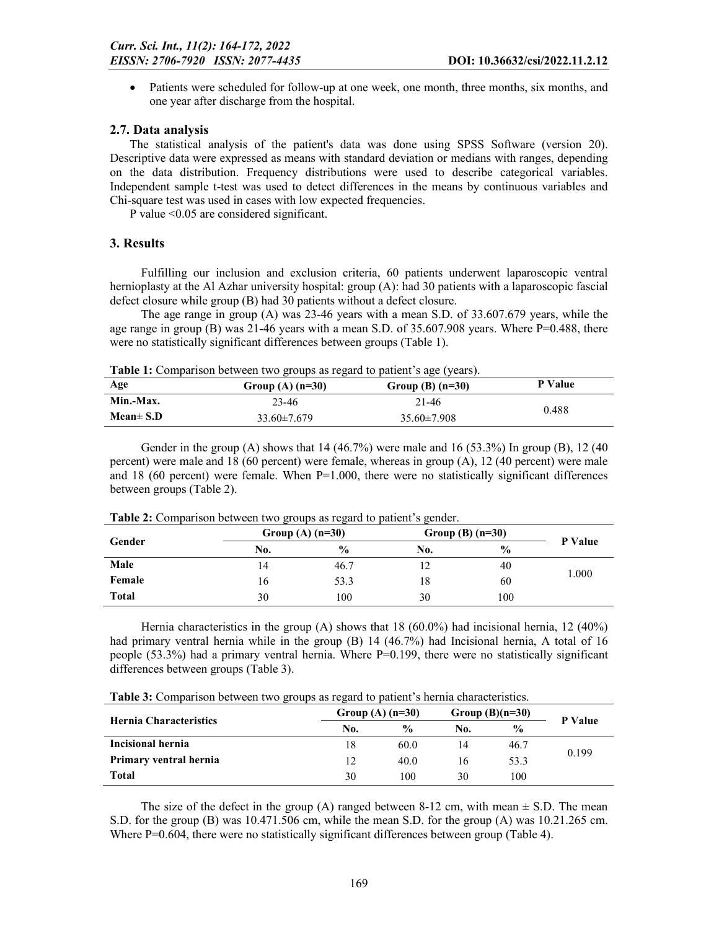Patients were scheduled for follow-up at one week, one month, three months, six months, and one year after discharge from the hospital.

#### 2.7. Data analysis

The statistical analysis of the patient's data was done using SPSS Software (version 20). Descriptive data were expressed as means with standard deviation or medians with ranges, depending on the data distribution. Frequency distributions were used to describe categorical variables. Independent sample t-test was used to detect differences in the means by continuous variables and Chi-square test was used in cases with low expected frequencies.

P value <0.05 are considered significant.

#### 3. Results

Fulfilling our inclusion and exclusion criteria, 60 patients underwent laparoscopic ventral hernioplasty at the Al Azhar university hospital: group (A): had 30 patients with a laparoscopic fascial defect closure while group (B) had 30 patients without a defect closure.

The age range in group (A) was 23-46 years with a mean S.D. of 33.607.679 years, while the age range in group (B) was 21-46 years with a mean S.D. of 35.607.908 years. Where P=0.488, there were no statistically significant differences between groups (Table 1).

Table 1: Comparison between two groups as regard to patient's age (years).

| Age            | -<br>Group (A) $(n=30)$ | Group (B) $(n=30)$ | P Value |
|----------------|-------------------------|--------------------|---------|
| Min.-Max.      | 23-46                   | 21-46              |         |
| Mean $\pm$ S.D | $33.60 \pm 7.679$       | $35.60 \pm 7.908$  | 0.488   |

Gender in the group (A) shows that  $14 (46.7%)$  were male and  $16 (53.3%)$  In group (B),  $12 (40$ percent) were male and 18 (60 percent) were female, whereas in group (A), 12 (40 percent) were male and 18 (60 percent) were female. When  $P=1.000$ , there were no statistically significant differences between groups (Table 2).

| Gender       |     | Group (A) $(n=30)$ |     | Group (B) $(n=30)$ |         |
|--------------|-----|--------------------|-----|--------------------|---------|
|              | No. | $\frac{0}{0}$      | No. | $\frac{0}{0}$      | P Value |
| Male         | 14  | 46.7               |     | 40                 |         |
| Female       | 16  | 53.3               | 18  | 60                 | 1.000   |
| <b>Total</b> | 30  | 100                | 30  | 100                |         |

Table 2: Comparison between two groups as regard to patient's gender.

Hernia characteristics in the group (A) shows that 18 (60.0%) had incisional hernia, 12 (40%) had primary ventral hernia while in the group (B) 14 (46.7%) had Incisional hernia, A total of 16 people  $(53.3\%)$  had a primary ventral hernia. Where P=0.199, there were no statistically significant differences between groups (Table 3).

|  |  | Table 3: Comparison between two groups as regard to patient's hernia characteristics. |
|--|--|---------------------------------------------------------------------------------------|
|--|--|---------------------------------------------------------------------------------------|

|                               | Group $(A)$ (n=30) |               |     | Group $(B)(n=30)$ |                |  |
|-------------------------------|--------------------|---------------|-----|-------------------|----------------|--|
| <b>Hernia Characteristics</b> | No.                | $\frac{0}{0}$ | No. | $\frac{0}{0}$     | <b>P</b> Value |  |
| Incisional hernia             | 18                 | 60.0          | 14  | 46.7              | 0.199          |  |
| Primary ventral hernia        | 12                 | 40.0          | 16  | 53.3              |                |  |
| <b>Total</b>                  | 30                 | 100           | 30  | 100               |                |  |

The size of the defect in the group (A) ranged between 8-12 cm, with mean  $\pm$  S.D. The mean S.D. for the group (B) was 10.471.506 cm, while the mean S.D. for the group (A) was 10.21.265 cm. Where  $P=0.604$ , there were no statistically significant differences between group (Table 4).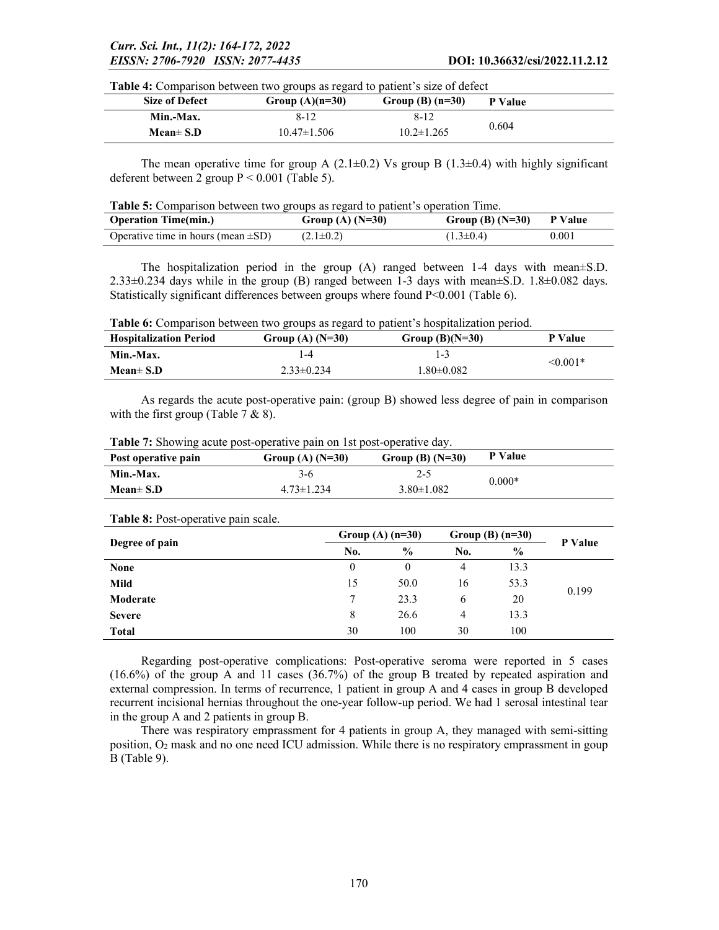Table 4: Comparison between two groups as regard to patient's size of defect

| Size of Defect | Group $(A)(n=30)$ | Group (B) $(n=30)$ | P Value |  |  |  |
|----------------|-------------------|--------------------|---------|--|--|--|
| Min.-Max.      | $8 - 12$          | $8 - 12$           |         |  |  |  |
| Mean $\pm$ S.D | $10.47\pm1.506$   | $10.2 \pm 1.265$   | 0.604   |  |  |  |

The mean operative time for group A  $(2.1\pm0.2)$  Vs group B  $(1.3\pm0.4)$  with highly significant deferent between 2 group  $P \le 0.001$  (Table 5).

|  |  | <b>Table 5:</b> Comparison between two groups as regard to patient's operation Time. |  |  |  |  |  |  |
|--|--|--------------------------------------------------------------------------------------|--|--|--|--|--|--|
|--|--|--------------------------------------------------------------------------------------|--|--|--|--|--|--|

| <b>Operation Time(min.)</b>              | Group (A) $(N=30)$ | Group (B) $(N=30)$ | <b>P</b> Value |
|------------------------------------------|--------------------|--------------------|----------------|
| Operative time in hours (mean $\pm SD$ ) | $(2.1 \pm 0.2)$    | $(1.3 \pm 0.4)$    | 0.001          |

The hospitalization period in the group (A) ranged between 1-4 days with mean±S.D. 2.33 $\pm$ 0.234 days while in the group (B) ranged between 1-3 days with mean $\pm$ S.D. 1.8 $\pm$ 0.082 days. Statistically significant differences between groups where found P<0.001 (Table 6).

Table 6: Comparison between two groups as regard to patient's hospitalization period.

| <b>Hospitalization Period</b> | Group (A) $(N=30)$ | Group $(B)(N=30)$ | P Value       |  |
|-------------------------------|--------------------|-------------------|---------------|--|
| Min.-Max.                     | -4                 | 14                |               |  |
| Mean $\pm$ S.D                | $2.33 \pm 0.234$   | $1.80 \pm 0.082$  | $\leq 0.001*$ |  |

As regards the acute post-operative pain: (group B) showed less degree of pain in comparison with the first group (Table 7  $\&$  8).

|  |  |  |  | <b>Table 7:</b> Showing acute post-operative pain on 1st post-operative day. |  |
|--|--|--|--|------------------------------------------------------------------------------|--|
|  |  |  |  |                                                                              |  |
|  |  |  |  |                                                                              |  |

| Post operative pain | Group (A) $(N=30)$ | Group (B) $(N=30)$ | P Value  |
|---------------------|--------------------|--------------------|----------|
| Min.-Max.           | $3-6$              | $2 - 5$            | $0.000*$ |
| Mean $\pm$ S.D      | $4.73 \pm 1.234$   | $3.80 \pm 1.082$   |          |

| $\overline{\phantom{a}}$<br>$\overline{\phantom{a}}$ | Group (A) $(n=30)$ |               |     | Group (B) $(n=30)$ |                |  |
|------------------------------------------------------|--------------------|---------------|-----|--------------------|----------------|--|
| Degree of pain                                       | No.                | $\frac{6}{9}$ | No. | $\%$               | <b>P</b> Value |  |
| <b>None</b>                                          | $\boldsymbol{0}$   | $\theta$      | 4   | 13.3               |                |  |
| Mild                                                 | 15                 | 50.0          | 16  | 53.3               | 0.199          |  |
| Moderate                                             | 7                  | 23.3          | 6   | 20                 |                |  |
| <b>Severe</b>                                        | 8                  | 26.6          | 4   | 13.3               |                |  |
| <b>Total</b>                                         | 30                 | 100           | 30  | 100                |                |  |

#### Table 8: Post-operative pain scale.

Regarding post-operative complications: Post-operative seroma were reported in 5 cases (16.6%) of the group A and 11 cases (36.7%) of the group B treated by repeated aspiration and external compression. In terms of recurrence, 1 patient in group A and 4 cases in group B developed recurrent incisional hernias throughout the one-year follow-up period. We had 1 serosal intestinal tear in the group A and 2 patients in group B.

There was respiratory emprassment for 4 patients in group A, they managed with semi-sitting position, O2 mask and no one need ICU admission. While there is no respiratory emprassment in goup B (Table 9).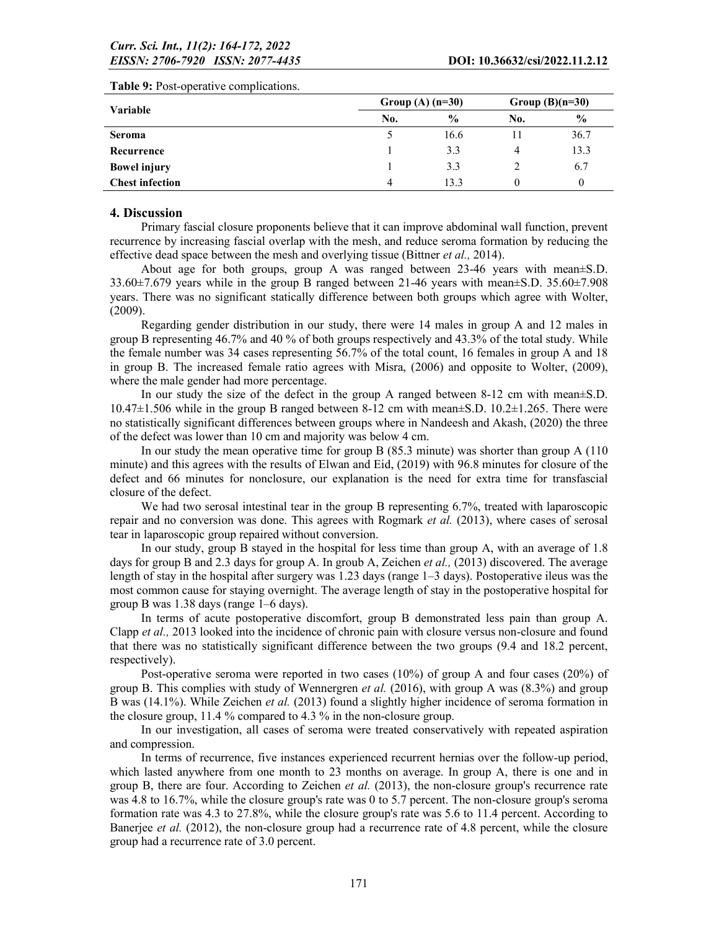| <b>Variable</b>        | Group (A) $(n=30)$ |               |     | Group $(B)(n=30)$ |  |  |
|------------------------|--------------------|---------------|-----|-------------------|--|--|
|                        | No.                | $\frac{6}{9}$ | No. | $\frac{0}{0}$     |  |  |
| <b>Seroma</b>          |                    | 16.6          |     | 36.7              |  |  |
| Recurrence             |                    | 3.3           | 4   | 13.3              |  |  |
| <b>Bowel injury</b>    |                    | 3.3           |     | 6.7               |  |  |
| <b>Chest infection</b> | 4                  | 13.3          |     | $\theta$          |  |  |

#### Table 9: Post-operative complications.

### 4. Discussion

Primary fascial closure proponents believe that it can improve abdominal wall function, prevent recurrence by increasing fascial overlap with the mesh, and reduce seroma formation by reducing the effective dead space between the mesh and overlying tissue (Bittner *et al.,* 2014).

About age for both groups, group A was ranged between 23-46 years with mean±S.D. 33.60±7.679 years while in the group B ranged between 21-46 years with mean±S.D. 35.60±7.908 years. There was no significant statically difference between both groups which agree with Wolter, (2009).

Regarding gender distribution in our study, there were 14 males in group A and 12 males in group B representing 46.7% and 40 % of both groups respectively and 43.3% of the total study. While the female number was 34 cases representing 56.7% of the total count, 16 females in group A and 18 in group B. The increased female ratio agrees with Misra, (2006) and opposite to Wolter, (2009), where the male gender had more percentage.

In our study the size of the defect in the group A ranged between 8-12 cm with mean±S.D.  $10.47\pm1.506$  while in the group B ranged between 8-12 cm with mean $\pm$ S.D. 10.2 $\pm$ 1.265. There were no statistically significant differences between groups where in Nandeesh and Akash, (2020) the three of the defect was lower than 10 cm and majority was below 4 cm.

In our study the mean operative time for group B (85.3 minute) was shorter than group A (110 minute) and this agrees with the results of Elwan and Eid, (2019) with 96.8 minutes for closure of the defect and 66 minutes for nonclosure, our explanation is the need for extra time for transfascial closure of the defect.

We had two serosal intestinal tear in the group B representing 6.7%, treated with laparoscopic repair and no conversion was done. This agrees with Rogmark *et al.* (2013), where cases of serosal tear in laparoscopic group repaired without conversion.

In our study, group B stayed in the hospital for less time than group A, with an average of 1.8 days for group B and 2.3 days for group A. In groub A, Zeichen *et al.,* (2013) discovered. The average length of stay in the hospital after surgery was 1.23 days (range 1–3 days). Postoperative ileus was the most common cause for staying overnight. The average length of stay in the postoperative hospital for group B was 1.38 days (range 1–6 days).

In terms of acute postoperative discomfort, group B demonstrated less pain than group A. Clapp *et al.,* 2013 looked into the incidence of chronic pain with closure versus non-closure and found that there was no statistically significant difference between the two groups (9.4 and 18.2 percent, respectively).

Post-operative seroma were reported in two cases (10%) of group A and four cases (20%) of group B. This complies with study of Wennergren *et al.* (2016), with group A was (8.3%) and group B was (14.1%). While Zeichen *et al.* (2013) found a slightly higher incidence of seroma formation in the closure group, 11.4 % compared to 4.3 % in the non-closure group.

In our investigation, all cases of seroma were treated conservatively with repeated aspiration and compression.

In terms of recurrence, five instances experienced recurrent hernias over the follow-up period, which lasted anywhere from one month to 23 months on average. In group A, there is one and in group B, there are four. According to Zeichen *et al.* (2013), the non-closure group's recurrence rate was 4.8 to 16.7%, while the closure group's rate was 0 to 5.7 percent. The non-closure group's seroma formation rate was 4.3 to 27.8%, while the closure group's rate was 5.6 to 11.4 percent. According to Banerjee *et al.* (2012), the non-closure group had a recurrence rate of 4.8 percent, while the closure group had a recurrence rate of 3.0 percent.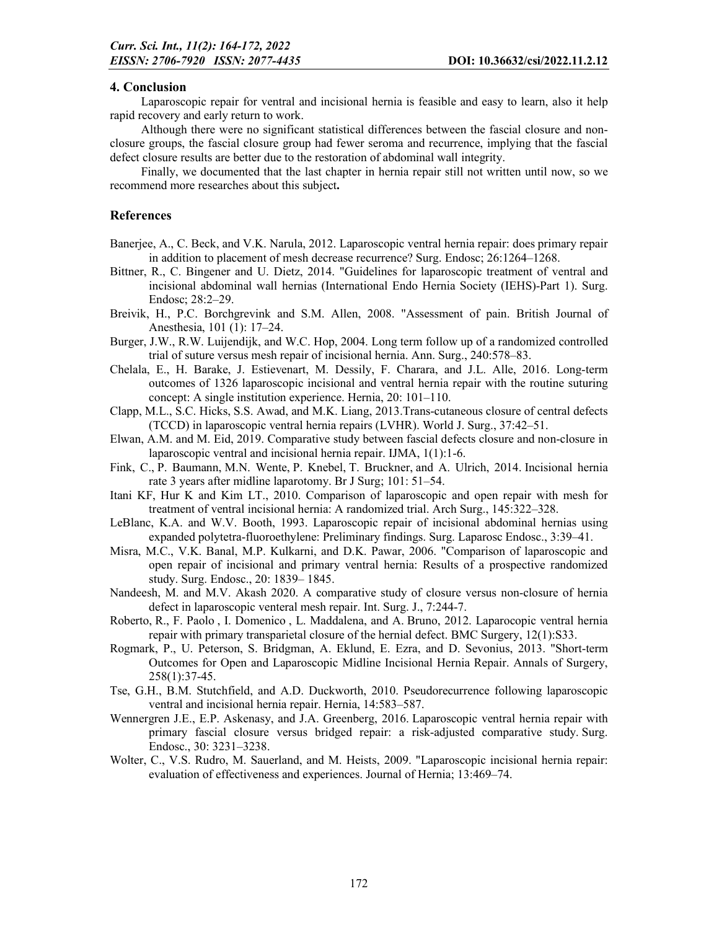#### 4. Conclusion

Laparoscopic repair for ventral and incisional hernia is feasible and easy to learn, also it help rapid recovery and early return to work.

Although there were no significant statistical differences between the fascial closure and nonclosure groups, the fascial closure group had fewer seroma and recurrence, implying that the fascial defect closure results are better due to the restoration of abdominal wall integrity.

Finally, we documented that the last chapter in hernia repair still not written until now, so we recommend more researches about this subject.

#### References

- Banerjee, A., C. Beck, and V.K. Narula, 2012. Laparoscopic ventral hernia repair: does primary repair in addition to placement of mesh decrease recurrence? Surg. Endosc; 26:1264–1268.
- Bittner, R., C. Bingener and U. Dietz, 2014. "Guidelines for laparoscopic treatment of ventral and incisional abdominal wall hernias (International Endo Hernia Society (IEHS)-Part 1). Surg. Endosc; 28:2–29.
- Breivik, H., P.C. Borchgrevink and S.M. Allen, 2008. "Assessment of pain. British Journal of Anesthesia, 101 (1): 17–24.
- Burger, J.W., R.W. Luijendijk, and W.C. Hop, 2004. Long term follow up of a randomized controlled trial of suture versus mesh repair of incisional hernia. Ann. Surg., 240:578–83.
- Chelala, E., H. Barake, J. Estievenart, M. Dessily, F. Charara, and J.L. Alle, 2016. Long-term outcomes of 1326 laparoscopic incisional and ventral hernia repair with the routine suturing concept: A single institution experience. Hernia, 20: 101–110.
- Clapp, M.L., S.C. Hicks, S.S. Awad, and M.K. Liang, 2013.Trans-cutaneous closure of central defects (TCCD) in laparoscopic ventral hernia repairs (LVHR). World J. Surg., 37:42–51.
- Elwan, A.M. and M. Eid, 2019. Comparative study between fascial defects closure and non-closure in laparoscopic ventral and incisional hernia repair. IJMA, 1(1):1-6.
- Fink, C., P. Baumann, M.N. Wente, P. Knebel, T. Bruckner, and A. Ulrich, 2014. Incisional hernia rate 3 years after midline laparotomy. Br J Surg; 101: 51–54.
- Itani KF, Hur K and Kim LT., 2010. Comparison of laparoscopic and open repair with mesh for treatment of ventral incisional hernia: A randomized trial. Arch Surg., 145:322–328.
- LeBlanc, K.A. and W.V. Booth, 1993. Laparoscopic repair of incisional abdominal hernias using expanded polytetra-fluoroethylene: Preliminary findings. Surg. Laparosc Endosc., 3:39–41.
- Misra, M.C., V.K. Banal, M.P. Kulkarni, and D.K. Pawar, 2006. "Comparison of laparoscopic and open repair of incisional and primary ventral hernia: Results of a prospective randomized study. Surg. Endosc., 20: 1839– 1845.
- Nandeesh, M. and M.V. Akash 2020. A comparative study of closure versus non-closure of hernia defect in laparoscopic venteral mesh repair. Int. Surg. J., 7:244-7.
- Roberto, R., F. Paolo , I. Domenico , L. Maddalena, and A. Bruno, 2012. Laparocopic ventral hernia repair with primary transparietal closure of the hernial defect. BMC Surgery, 12(1):S33.
- Rogmark, P., U. Peterson, S. Bridgman, A. Eklund, E. Ezra, and D. Sevonius, 2013. "Short-term Outcomes for Open and Laparoscopic Midline Incisional Hernia Repair. Annals of Surgery, 258(1):37-45.
- Tse, G.H., B.M. Stutchfield, and A.D. Duckworth, 2010. Pseudorecurrence following laparoscopic ventral and incisional hernia repair. Hernia, 14:583–587.
- Wennergren J.E., E.P. Askenasy, and J.A. Greenberg, 2016. Laparoscopic ventral hernia repair with primary fascial closure versus bridged repair: a risk-adjusted comparative study. Surg. Endosc., 30: 3231–3238.
- Wolter, C., V.S. Rudro, M. Sauerland, and M. Heists, 2009. "Laparoscopic incisional hernia repair: evaluation of effectiveness and experiences. Journal of Hernia; 13:469–74.